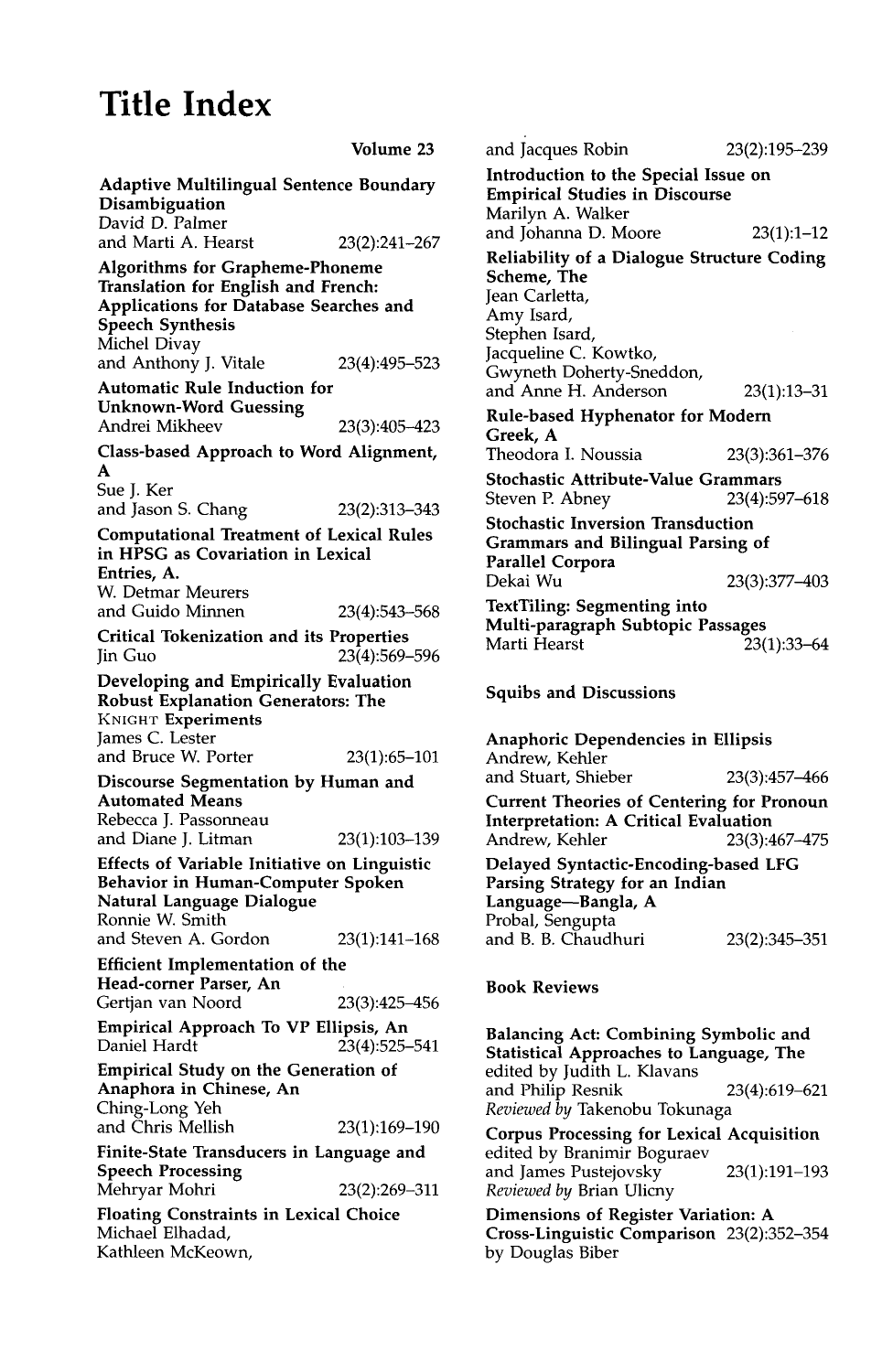# **Title Index**

|                                                                                                                                                                    | Volume 23        |
|--------------------------------------------------------------------------------------------------------------------------------------------------------------------|------------------|
| <b>Adaptive Multilingual Sentence Boundary</b><br>Disambiguation                                                                                                   |                  |
| David D. Palmer                                                                                                                                                    |                  |
| and Marti A. Hearst                                                                                                                                                | 23(2):241-267    |
| <b>Algorithms for Grapheme-Phoneme</b><br>Translation for English and French:<br>Applications for Database Searches and<br><b>Speech Synthesis</b><br>Michel Divay |                  |
| and Anthony J. Vitale                                                                                                                                              | 23(4):495-523    |
| <b>Automatic Rule Induction for</b><br><b>Unknown-Word Guessing</b><br>Andrei Mikheev                                                                              | 23(3):405-423    |
| Class-based Approach to Word Alignment,                                                                                                                            |                  |
| A<br>Sue J. Ker                                                                                                                                                    |                  |
| and Jason S. Chang                                                                                                                                                 | 23(2):313-343    |
| <b>Computational Treatment of Lexical Rules</b><br>in HPSG as Covariation in Lexical<br>Entries, A.<br>W. Detmar Meurers                                           |                  |
| and Guido Minnen                                                                                                                                                   | 23(4):543-568    |
| <b>Critical Tokenization and its Properties</b><br>Jin Guo                                                                                                         | 23(4):569-596    |
| Developing and Empirically Evaluation<br><b>Robust Explanation Generators: The</b><br>KNIGHT Experiments<br>James C. Lester<br>and Bruce W. Porter                 | $23(1):65 - 101$ |
| Discourse Segmentation by Human and                                                                                                                                |                  |
| <b>Automated Means</b><br>Rebecca J. Passonneau                                                                                                                    |                  |
| and Diane J. Litman                                                                                                                                                | 23(1):103-139    |
| <b>Effects of Variable Initiative on Linguistic</b><br><b>Behavior in Human-Computer Spoken</b><br>Natural Language Dialogue<br>Ronnie W. Smith                    |                  |
| and Steven A. Gordon                                                                                                                                               | $23(1):141-168$  |
| Efficient Implementation of the<br>Head-corner Parser, An                                                                                                          |                  |
| Gertjan van Noord                                                                                                                                                  | 23(3):425–456    |
| Empirical Approach To VP Ellipsis, An<br>Daniel Hardt                                                                                                              | 23(4):525-541    |
| <b>Empirical Study on the Generation of</b><br>Anaphora in Chinese, An<br>Ching-Long Yeh                                                                           |                  |
| and Chris Mellish                                                                                                                                                  | 23(1):169-190    |
| Finite-State Transducers in Language and<br>Speech Processing                                                                                                      |                  |
| Mehryar Mohri                                                                                                                                                      | 23(2):269–311    |
| <b>Floating Constraints in Lexical Choice</b><br>Michael Elhadad,<br>Kathleen McKeown,                                                                             |                  |

and Jacques Robin 23(2):195-239 Introduction to the Special Issue on Empirical Studies in Discourse Marilyn A. Walker and Johanna D. Moore 23(1):1-12 Reliability of a Dialogue Structure Coding Scheme, The Jean Carletta, Amy Isard, Stephen Isard, Jacqueline C. Kowtko, Gwyneth Doherty-Sneddon, and Anne H. Anderson 23(1):13-31 Rule-based Hyphenator for Modem Greek, A Theodora I. Noussia 23(3):361-376 Stochastic Attribute-Value Grammars Steven P. Abney 23(4):597-618 Stochastic Inversion Transduction Grammars and Bilingual Parsing of Parallel Corpora Dekai Wu 23(3):377-403 TextTiling: Segmenting into Multi-paragraph Subtopic Passages Marti Hearst 23(1):33-64

Squibs and Discussions

| Anaphoric Dependencies in Ellipsis               |               |  |
|--------------------------------------------------|---------------|--|
| Andrew, Kehler                                   |               |  |
| and Stuart, Shieber                              | 23(3):457-466 |  |
| <b>Current Theories of Centering for Pronoun</b> |               |  |
| <b>Interpretation: A Critical Evaluation</b>     |               |  |
| Andrew, Kehler                                   | 23(3):467-475 |  |
| Delayed Syntactic-Encoding-based LFG             |               |  |
| Parsing Strategy for an Indian                   |               |  |
| Language-Bangla, A                               |               |  |
| Probal, Sengupta                                 |               |  |
| and B. B. Chaudhuri                              | 23(2):345-351 |  |

#### **Book Reviews**

Balancing Act: Combining Symbolic and Statistical Approaches to Language, The edited by Judith L. Klavans and Philip Resnik 23(4):619-621 *Reviewed by* Takenobu Tokunaga

Corpus Processing for Lexical Acquisition edited by Branimir Boguraev and James Pustejovsky 23(1):191-193 *Reviewed by* Brian Ulicny

Dimensions of Register Variation: **A**  Cross-Linguistic Comparison 23(2):352-354 by Douglas Biber